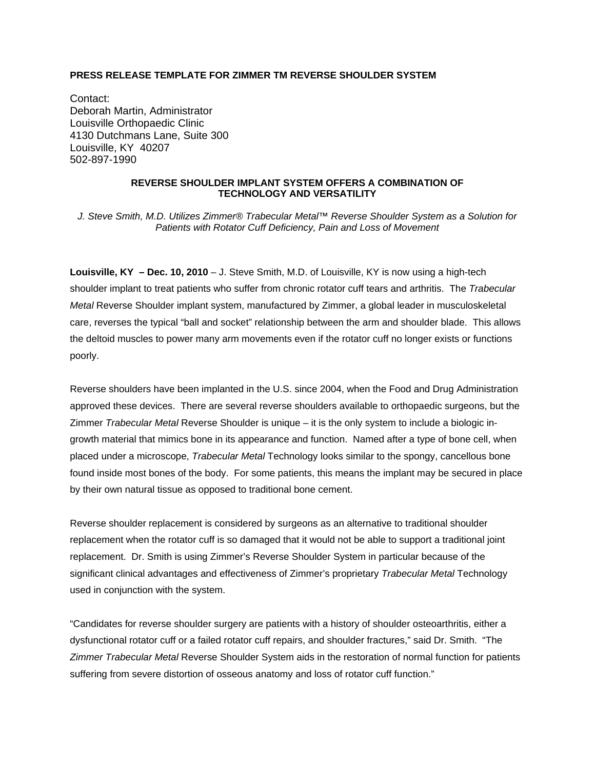## **PRESS RELEASE TEMPLATE FOR ZIMMER TM REVERSE SHOULDER SYSTEM**

Contact: Deborah Martin, Administrator Louisville Orthopaedic Clinic 4130 Dutchmans Lane, Suite 300 Louisville, KY 40207 502-897-1990

## **REVERSE SHOULDER IMPLANT SYSTEM OFFERS A COMBINATION OF TECHNOLOGY AND VERSATILITY**

*J. Steve Smith, M.D. Utilizes Zimmer® Trabecular Metal™ Reverse Shoulder System as a Solution for Patients with Rotator Cuff Deficiency, Pain and Loss of Movement* 

**Louisville, KY – Dec. 10, 2010** – J. Steve Smith, M.D. of Louisville, KY is now using a high-tech shoulder implant to treat patients who suffer from chronic rotator cuff tears and arthritis. The *Trabecular Metal* Reverse Shoulder implant system, manufactured by Zimmer, a global leader in musculoskeletal care, reverses the typical "ball and socket" relationship between the arm and shoulder blade. This allows the deltoid muscles to power many arm movements even if the rotator cuff no longer exists or functions poorly.

Reverse shoulders have been implanted in the U.S. since 2004, when the Food and Drug Administration approved these devices. There are several reverse shoulders available to orthopaedic surgeons, but the Zimmer *Trabecular Metal* Reverse Shoulder is unique – it is the only system to include a biologic ingrowth material that mimics bone in its appearance and function. Named after a type of bone cell, when placed under a microscope, *Trabecular Metal* Technology looks similar to the spongy, cancellous bone found inside most bones of the body. For some patients, this means the implant may be secured in place by their own natural tissue as opposed to traditional bone cement.

Reverse shoulder replacement is considered by surgeons as an alternative to traditional shoulder replacement when the rotator cuff is so damaged that it would not be able to support a traditional joint replacement. Dr. Smith is using Zimmer's Reverse Shoulder System in particular because of the significant clinical advantages and effectiveness of Zimmer's proprietary *Trabecular Metal* Technology used in conjunction with the system.

"Candidates for reverse shoulder surgery are patients with a history of shoulder osteoarthritis, either a dysfunctional rotator cuff or a failed rotator cuff repairs, and shoulder fractures," said Dr. Smith. "The *Zimmer Trabecular Metal* Reverse Shoulder System aids in the restoration of normal function for patients suffering from severe distortion of osseous anatomy and loss of rotator cuff function."